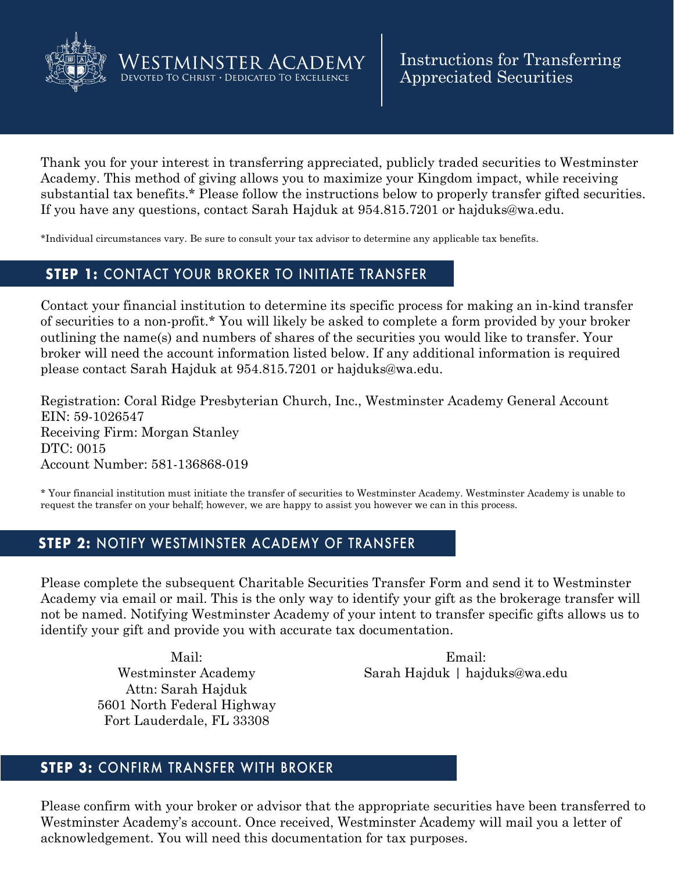

**OVERVIEW** 

Thank you for your interest in transferring appreciated, publicly traded securities to Westminster Academy. This method of giving allows you to maximize your Kingdom impact, while receiving substantial tax benefits.\* Please follow the instructions below to properly transfer gifted securities. If you have any questions, contact Sarah Hajduk at 954.815.7201 or hajduks@wa.edu.

\*Individual circumstances vary. Be sure to consult your tax advisor to determine any applicable tax benefits.

## **STEP 1:** CONTACT YOUR BROKER TO INITIATE TRANSFER

Westminster Academy DEVOTED TO CHRIST . DEDICATED TO EXCELLENCE

Contact your financial institution to determine its specific process for making an in-kind transfer of securities to a non-profit.\* You will likely be asked to complete a form provided by your broker outlining the name(s) and numbers of shares of the securities you would like to transfer. Your broker will need the account information listed below. If any additional information is required please contact Sarah Hajduk at 954.815.7201 or hajduks@wa.edu.

Registration: Coral Ridge Presbyterian Church, Inc., Westminster Academy General Account EIN: 59-1026547 Receiving Firm: Morgan Stanley DTC: 0015 Account Number: 581-136868-019

\* Your financial institution must initiate the transfer of securities to Westminster Academy. Westminster Academy is unable to request the transfer on your behalf; however, we are happy to assist you however we can in this process.

## **STEP 2:** NOTIFY WESTMINSTER ACADEMY OF TRANSFER

Please complete the subsequent Charitable Securities Transfer Form and send it to Westminster Academy via email or mail. This is the only way to identify your gift as the brokerage transfer will not be named. Notifying Westminster Academy of your intent to transfer specific gifts allows us to identify your gift and provide you with accurate tax documentation.

Mail: Westminster Academy Attn: Sarah Hajduk 5601 North Federal Highway Fort Lauderdale, FL 33308

Email: Sarah Hajduk | hajduks@wa.edu

## **STEP 3:** CONFIRM TRANSFER WITH BROKER

Please confirm with your broker or advisor that the appropriate securities have been transferred to Westminster Academy's account. Once received, Westminster Academy will mail you a letter of acknowledgement. You will need this documentation for tax purposes.